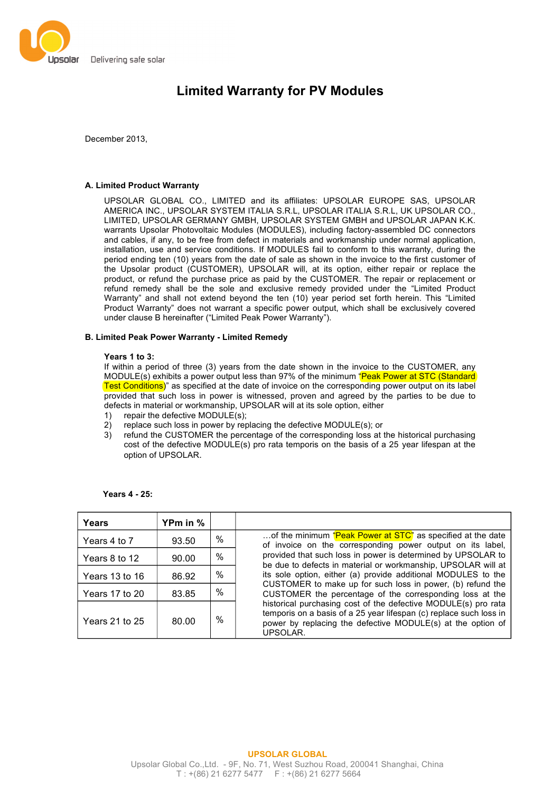

# **Limited Warranty for PV Modules**

December 2013,

# **A. Limited Product Warranty**

UPSOLAR GLOBAL CO., LIMITED and its affiliates: UPSOLAR EUROPE SAS, UPSOLAR AMERICA INC., UPSOLAR SYSTEM ITALIA S.R.L, UPSOLAR ITALIA S.R.L, UK UPSOLAR CO., LIMITED, UPSOLAR GERMANY GMBH, UPSOLAR SYSTEM GMBH and UPSOLAR JAPAN K.K. warrants Upsolar Photovoltaic Modules (MODULES), including factory-assembled DC connectors and cables, if any, to be free from defect in materials and workmanship under normal application, installation, use and service conditions. If MODULES fail to conform to this warranty, during the period ending ten (10) years from the date of sale as shown in the invoice to the first customer of the Upsolar product (CUSTOMER), UPSOLAR will, at its option, either repair or replace the product, or refund the purchase price as paid by the CUSTOMER. The repair or replacement or refund remedy shall be the sole and exclusive remedy provided under the "Limited Product Warranty" and shall not extend beyond the ten (10) year period set forth herein. This "Limited Product Warranty" does not warrant a specific power output, which shall be exclusively covered under clause B hereinafter ("Limited Peak Power Warranty").

# **B. Limited Peak Power Warranty - Limited Remedy**

## **Years 1 to 3:**

If within a period of three (3) years from the date shown in the invoice to the CUSTOMER, any MODULE(s) exhibits a power output less than 97% of the minimum "Peak Power at STC (Standard Test Conditions)" as specified at the date of invoice on the corresponding power output on its label provided that such loss in power is witnessed, proven and agreed by the parties to be due to defects in material or workmanship, UPSOLAR will at its sole option, either

- 1) repair the defective MODULE(s);
- 2) replace such loss in power by replacing the defective MODULE(s); or
- 3) refund the CUSTOMER the percentage of the corresponding loss at the historical purchasing cost of the defective MODULE(s) pro rata temporis on the basis of a 25 year lifespan at the option of UPSOLAR.

| Years          | YPm in % |      |                                                                                                                                                                                                                                                                                                                                                                                                                                                                                                                                                                                                                                                                          |
|----------------|----------|------|--------------------------------------------------------------------------------------------------------------------------------------------------------------------------------------------------------------------------------------------------------------------------------------------------------------------------------------------------------------------------------------------------------------------------------------------------------------------------------------------------------------------------------------------------------------------------------------------------------------------------------------------------------------------------|
| Years 4 to 7   | 93.50    | $\%$ | of the minimum "Peak Power at STC" as specified at the date<br>of invoice on the corresponding power output on its label,<br>provided that such loss in power is determined by UPSOLAR to<br>be due to defects in material or workmanship, UPSOLAR will at<br>its sole option, either (a) provide additional MODULES to the<br>CUSTOMER to make up for such loss in power, (b) refund the<br>CUSTOMER the percentage of the corresponding loss at the<br>historical purchasing cost of the defective MODULE(s) pro rata<br>temporis on a basis of a 25 year lifespan (c) replace such loss in<br>power by replacing the defective MODULE(s) at the option of<br>UPSOLAR. |
| Years 8 to 12  | 90.00    | $\%$ |                                                                                                                                                                                                                                                                                                                                                                                                                                                                                                                                                                                                                                                                          |
| Years 13 to 16 | 86.92    | $\%$ |                                                                                                                                                                                                                                                                                                                                                                                                                                                                                                                                                                                                                                                                          |
| Years 17 to 20 | 83.85    | $\%$ |                                                                                                                                                                                                                                                                                                                                                                                                                                                                                                                                                                                                                                                                          |
| Years 21 to 25 | 80.00    | $\%$ |                                                                                                                                                                                                                                                                                                                                                                                                                                                                                                                                                                                                                                                                          |

**Years 4 - 25:**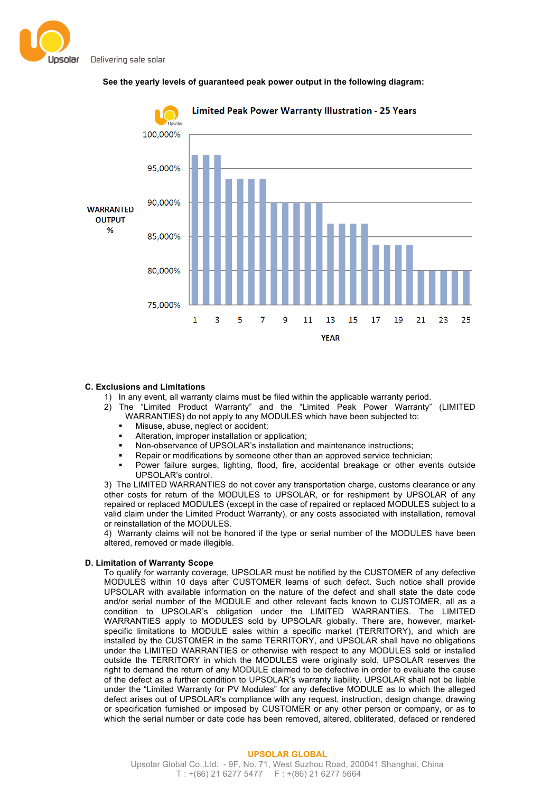





## **C. Exclusions and Limitations**

- 1) In any event, all warranty claims must be filed within the applicable warranty period.
- 2) The "Limited Product Warranty" and the "Limited Peak Power Warranty" (LIMITED WARRANTIES) do not apply to any MODULES which have been subjected to:
	- Misuse, abuse, neglect or accident;
	- Alteration, improper installation or application;
	- Non-observance of UPSOLAR's installation and maintenance instructions;
	- Repair or modifications by someone other than an approved service technician;
	- § Power failure surges, lighting, flood, fire, accidental breakage or other events outside UPSOLAR's control.

3) The LIMITED WARRANTIES do not cover any transportation charge, customs clearance or any other costs for return of the MODULES to UPSOLAR, or for reshipment by UPSOLAR of any repaired or replaced MODULES (except in the case of repaired or replaced MODULES subject to a valid claim under the Limited Product Warranty), or any costs associated with installation, removal or reinstallation of the MODULES.

4) Warranty claims will not be honored if the type or serial number of the MODULES have been altered, removed or made illegible.

## **D. Limitation of Warranty Scope**

To qualify for warranty coverage, UPSOLAR must be notified by the CUSTOMER of any defective MODULES within 10 days after CUSTOMER learns of such defect. Such notice shall provide UPSOLAR with available information on the nature of the defect and shall state the date code and/or serial number of the MODULE and other relevant facts known to CUSTOMER, all as a condition to UPSOLAR's obligation under the LIMITED WARRANTIES. The LIMITED WARRANTIES apply to MODULES sold by UPSOLAR globally. There are, however, marketspecific limitations to MODULE sales within a specific market (TERRITORY), and which are installed by the CUSTOMER in the same TERRITORY, and UPSOLAR shall have no obligations under the LIMITED WARRANTIES or otherwise with respect to any MODULES sold or installed outside the TERRITORY in which the MODULES were originally sold. UPSOLAR reserves the right to demand the return of any MODULE claimed to be defective in order to evaluate the cause of the defect as a further condition to UPSOLAR's warranty liability. UPSOLAR shall not be liable under the "Limited Warranty for PV Modules" for any defective MODULE as to which the alleged defect arises out of UPSOLAR's compliance with any request, instruction, design change, drawing or specification furnished or imposed by CUSTOMER or any other person or company, or as to which the serial number or date code has been removed, altered, obliterated, defaced or rendered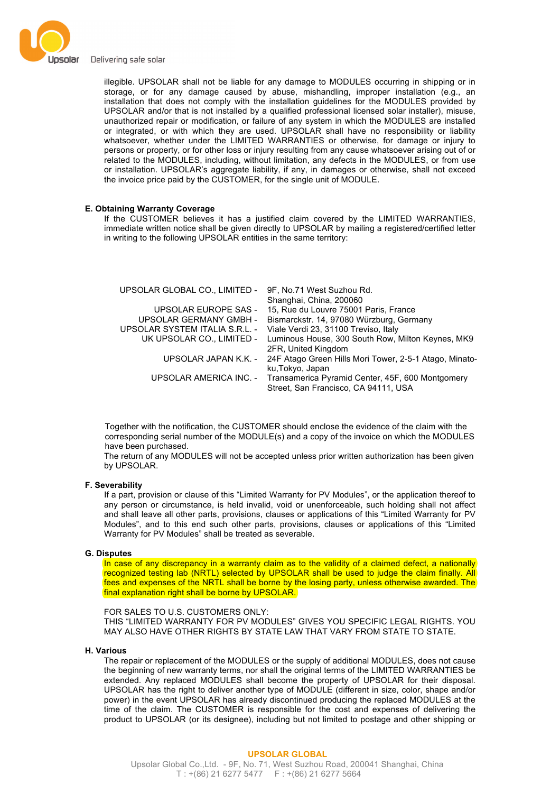

illegible. UPSOLAR shall not be liable for any damage to MODULES occurring in shipping or in storage, or for any damage caused by abuse, mishandling, improper installation (e.g., an installation that does not comply with the installation guidelines for the MODULES provided by UPSOLAR and/or that is not installed by a qualified professional licensed solar installer), misuse, unauthorized repair or modification, or failure of any system in which the MODULES are installed or integrated, or with which they are used. UPSOLAR shall have no responsibility or liability whatsoever, whether under the LIMITED WARRANTIES or otherwise, for damage or injury to persons or property, or for other loss or injury resulting from any cause whatsoever arising out of or related to the MODULES, including, without limitation, any defects in the MODULES, or from use or installation. UPSOLAR's aggregate liability, if any, in damages or otherwise, shall not exceed the invoice price paid by the CUSTOMER, for the single unit of MODULE.

## **E. Obtaining Warranty Coverage**

If the CUSTOMER believes it has a justified claim covered by the LIMITED WARRANTIES, immediate written notice shall be given directly to UPSOLAR by mailing a registered/certified letter in writing to the following UPSOLAR entities in the same territory:

| UPSOLAR GLOBAL CO., LIMITED -  | 9F, No.71 West Suzhou Rd.                              |
|--------------------------------|--------------------------------------------------------|
|                                | Shanghai, China, 200060                                |
| UPSOLAR EUROPE SAS -           | 15, Rue du Louvre 75001 Paris, France                  |
| <b>UPSOLAR GERMANY GMBH -</b>  | Bismarckstr. 14, 97080 Würzburg, Germany               |
| UPSOLAR SYSTEM ITALIA S.R.L. - | Viale Verdi 23, 31100 Treviso, Italy                   |
| UK UPSOLAR CO., LIMITED -      | Luminous House, 300 South Row, Milton Keynes, MK9      |
|                                | 2FR, United Kingdom                                    |
| UPSOLAR JAPAN K.K. -           | 24F Atago Green Hills Mori Tower, 2-5-1 Atago, Minato- |
|                                | ku, Tokyo, Japan                                       |
| UPSOLAR AMERICA INC. -         | Transamerica Pyramid Center, 45F, 600 Montgomery       |
|                                | Street, San Francisco, CA 94111, USA                   |

Together with the notification, the CUSTOMER should enclose the evidence of the claim with the corresponding serial number of the MODULE(s) and a copy of the invoice on which the MODULES have been purchased.

The return of any MODULES will not be accepted unless prior written authorization has been given by UPSOLAR.

#### **F. Severability**

If a part, provision or clause of this "Limited Warranty for PV Modules", or the application thereof to any person or circumstance, is held invalid, void or unenforceable, such holding shall not affect and shall leave all other parts, provisions, clauses or applications of this "Limited Warranty for PV Modules", and to this end such other parts, provisions, clauses or applications of this "Limited Warranty for PV Modules" shall be treated as severable.

## **G. Disputes**

In case of any discrepancy in a warranty claim as to the validity of a claimed defect, a nationally recognized testing lab (NRTL) selected by UPSOLAR shall be used to judge the claim finally. All fees and expenses of the NRTL shall be borne by the losing party, unless otherwise awarded. The final explanation right shall be borne by UPSOLAR.

## FOR SALES TO U.S. CUSTOMERS ONLY:

THIS "LIMITED WARRANTY FOR PV MODULES" GIVES YOU SPECIFIC LEGAL RIGHTS. YOU MAY ALSO HAVE OTHER RIGHTS BY STATE LAW THAT VARY FROM STATE TO STATE.

#### **H. Various**

The repair or replacement of the MODULES or the supply of additional MODULES, does not cause the beginning of new warranty terms, nor shall the original terms of the LIMITED WARRANTIES be extended. Any replaced MODULES shall become the property of UPSOLAR for their disposal. UPSOLAR has the right to deliver another type of MODULE (different in size, color, shape and/or power) in the event UPSOLAR has already discontinued producing the replaced MODULES at the time of the claim. The CUSTOMER is responsible for the cost and expenses of delivering the product to UPSOLAR (or its designee), including but not limited to postage and other shipping or